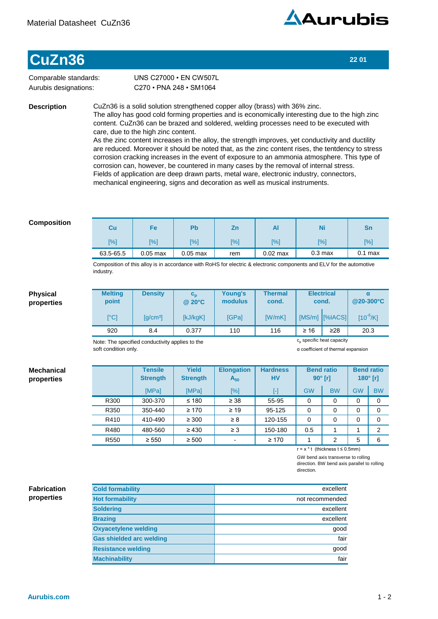

## **CuZn36 22 01**

Comparable standards: Aurubis designations:

C270•PNA248•SM1064 UNS C27000 · EN CW507L

**Description**

CuZn36 is a solid solution strengthened copper alloy (brass) with 36% zinc. The alloy has good cold forming properties and is economically interesting due to the high zinc content. CuZn36 can be brazed and soldered, welding processes need to be executed with care, due to the high zinc content.

As the zinc content increases in the alloy, the strength improves, yet conductivity and ductility are reduced. Moreover it should be noted that, as the zinc content rises, the tentdency to stress corrosion cracking increases in the event of exposure to an ammonia atmosphere. This type of corrosion can, however, be countered in many cases by the removal of internal stress. Fields of application are deep drawn parts, metal ware, electronic industry, connectors, mechanical engineering, signs and decoration as well as musical instruments.

## **Composition**

| Cu        | Fe         | Pb         | Ζn  | Al         | Ni                 | Sn        |
|-----------|------------|------------|-----|------------|--------------------|-----------|
| [%]       | [%]        | [%]        | [%] | $[\%]$     | [%]                | [%]       |
| 63.5-65.5 | $0.05$ max | $0.05$ max | rem | $0.02$ max | 0.3 <sub>max</sub> | $0.1$ max |

Composition of this alloy is in accordance with RoHS for electric & electronic components and ELV for the automotive industry.

## **Physical properties**

**Mechanical properties**

| <b>Melting</b><br>point   | <b>Density</b>                              | $c_{p}$<br>@ 20°C | Young's<br>modulus | <b>Thermal</b><br>cond. | <b>Electrical</b><br>cond. |                 | @20-300°C     |  |
|---------------------------|---------------------------------------------|-------------------|--------------------|-------------------------|----------------------------|-----------------|---------------|--|
| $\lceil{^{\circ}C}\rceil$ | $\left[\frac{\text{q}}{\text{cm}^3}\right]$ | [kJ/kgK]          | <b>IGPal</b>       | <b>IW/mKI</b>           |                            | [MS/m] [%IACS]] | $[10^{-6}/K]$ |  |
| 920                       | 8.4                                         | 0.377             | 110                | 116                     | $\geq 16$                  | ≥28             | 20.3          |  |

Note: The specified conductivity applies to the soft condition only.

c<sub>p</sub> specific heat capacity

α coefficient of thermal expansion

|                  | <b>Tensile</b><br><b>Strength</b> | <b>Yield</b><br><b>Strength</b> | <b>Elongation</b><br>$A_{50}$ | <b>Hardness</b><br><b>HV</b> |           | <b>Bend ratio</b><br>$90^\circ$ [r] | $180^\circ$ [r] | <b>Bend ratio</b> |
|------------------|-----------------------------------|---------------------------------|-------------------------------|------------------------------|-----------|-------------------------------------|-----------------|-------------------|
|                  | [MPa]                             | [MPa]                           | [%]                           | $[\cdot]$                    | <b>GW</b> | <b>BW</b>                           | <b>GW</b>       | <b>BW</b>         |
| R300             | 300-370                           | $≤ 180$                         | $\geq 38$                     | 55-95                        | $\Omega$  | 0                                   | 0               | 0                 |
| R350             | 350-440                           | $\geq 170$                      | $\geq 19$                     | 95-125                       | $\Omega$  | 0                                   | 0               | 0                 |
| R410             | 410-490                           | $\geq 300$                      | $\geq 8$                      | 120-155                      | $\Omega$  | 0                                   | 0               | 0                 |
| R480             | 480-560                           | $\geq 430$                      | $\geq 3$                      | 150-180                      | 0.5       |                                     |                 | $\mathfrak{p}$    |
| R <sub>550</sub> | $\geq 550$                        | $\geq 500$                      | $\overline{\phantom{a}}$      | $\geq 170$                   |           | 2                                   | 5               | 6                 |

r=x\*t(thicknesst≤0.5mm)

GW bend axis transverse to rolling direction. BW bend axis parallel to rolling

direction.

## **properties**

| <b>Fabrication</b><br>properties | <b>Cold formability</b>         | excellent       |
|----------------------------------|---------------------------------|-----------------|
|                                  | <b>Hot formability</b>          | not recommended |
|                                  | <b>Soldering</b>                | excellent       |
|                                  | <b>Brazing</b>                  | excellent       |
|                                  | <b>Oxyacetylene welding</b>     | qood            |
|                                  | <b>Gas shielded arc welding</b> | fair            |
|                                  | <b>Resistance welding</b>       | qood            |
|                                  | <b>Machinability</b>            | fair            |